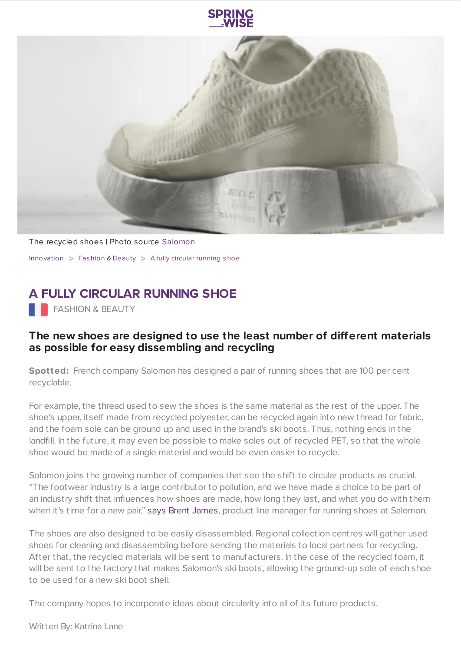



The recycled shoes | Photo source [Salomon](https://salomon.co.nz/) [Innovation](https://www.springwise.com/search?type=innovation)  $>$  [Fashion](https://www.springwise.com/search?type=innovation§or=design-fashion-and-beauty) & Beauty  $>$  A fully circular running shoe

## **A FULLY CIRCULAR RUNNING SHOE**

**FASHION & BEAUTY** 

## **The new shoes are designed to use the least number of different materials as possible for easy dissembling and recycling**

**Spotted:** French company Salomon has designed a pair of running shoes that are 100 per cent recyclable.

For example, the thread used to sew the shoes is the same material as the rest of the upper. The shoe's upper, itself made from recycled polyester, can be recycled again into new thread for fabric, and the foam sole can be ground up and used in the brand's ski boots. Thus, nothing ends in the landfill. In the future, it may even be possible to make soles out of recycled PET, so that the whole shoe would be made of a single material and would be even easier to recycle.

Solomon joins the growing number of companies that see the shift to circular products as crucial. "The footwear industry is a large contributor to pollution, and we have made a choice to be part of an industry shift that influences how shoes are made, how long they last, and what you do with them when it's time for a new pair," says Brent [James](http://sustainability-innovation/fashion-beauty/recyclable-shoes-salomon-index.01%09https://www.fastcompany.com/90547526/these-running-shoes-are-designed-to-be-100-recycled), product line manager for running shoes at Salomon.

The shoes are also designed to be easily disassembled. Regional collection centres will gather used shoes for cleaning and disassembling before sending the materials to local partners for recycling. After that, the recycled materials will be sent to manufacturers. In the case of the recycled foam, it will be sent to the factory that makes Salomon's ski boots, allowing the ground-up sole of each shoe to be used for a new ski boot shell.

The company hopes to incorporate ideas about circularity into all of its future products.

Written By: Katrina Lane